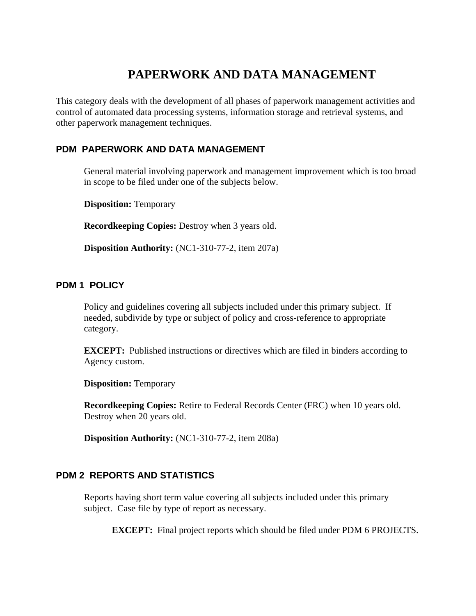# **PAPERWORK AND DATA MANAGEMENT**

This category deals with the development of all phases of paperwork management activities and control of automated data processing systems, information storage and retrieval systems, and other paperwork management techniques.

## **PDM PAPERWORK AND DATA MANAGEMENT**

General material involving paperwork and management improvement which is too broad in scope to be filed under one of the subjects below.

**Disposition:** Temporary

**Recordkeeping Copies:** Destroy when 3 years old.

**Disposition Authority:** (NC1-310-77-2, item 207a)

#### **PDM 1 POLICY**

Policy and guidelines covering all subjects included under this primary subject. If needed, subdivide by type or subject of policy and cross-reference to appropriate category.

**EXCEPT:** Published instructions or directives which are filed in binders according to Agency custom.

**Disposition:** Temporary

**Recordkeeping Copies:** Retire to Federal Records Center (FRC) when 10 years old. Destroy when 20 years old.

**Disposition Authority:** (NC1-310-77-2, item 208a)

## **PDM 2 REPORTS AND STATISTICS**

Reports having short term value covering all subjects included under this primary subject. Case file by type of report as necessary.

**EXCEPT:** Final project reports which should be filed under PDM 6 PROJECTS.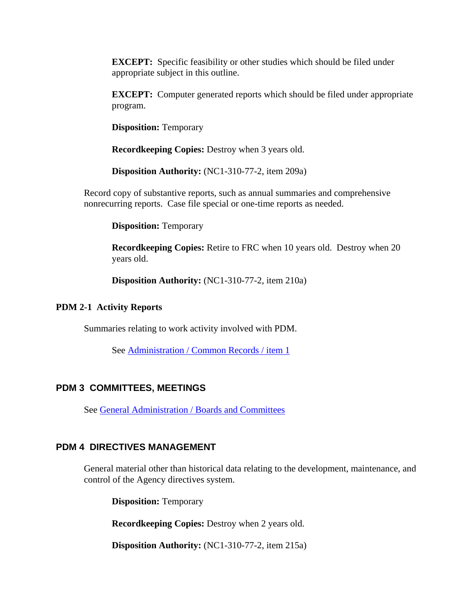**EXCEPT:** Specific feasibility or other studies which should be filed under appropriate subject in this outline.

**EXCEPT:** Computer generated reports which should be filed under appropriate program.

**Disposition:** Temporary

**Recordkeeping Copies:** Destroy when 3 years old.

**Disposition Authority:** (NC1-310-77-2, item 209a)

Record copy of substantive reports, such as annual summaries and comprehensive nonrecurring reports. Case file special or one-time reports as needed.

**Disposition:** Temporary

**Recordkeeping Copies:** Retire to FRC when 10 years old. Destroy when 20 years old.

**Disposition Authority:** (NC1-310-77-2, item 210a)

#### **PDM 2-1 Activity Reports**

Summaries relating to work activity involved with PDM.

See Administration / Common Records / item 1

#### **PDM 3 COMMITTEES, MEETINGS**

See [General Administration / Boards and Committees](http://inside.aphis.usda.gov/mrpbs/records/general_administration.shtml)

#### **PDM 4 DIRECTIVES MANAGEMENT**

General material other than historical data relating to the development, maintenance, and control of the Agency directives system.

**Disposition:** Temporary

**Recordkeeping Copies:** Destroy when 2 years old.

**Disposition Authority:** (NC1-310-77-2, item 215a)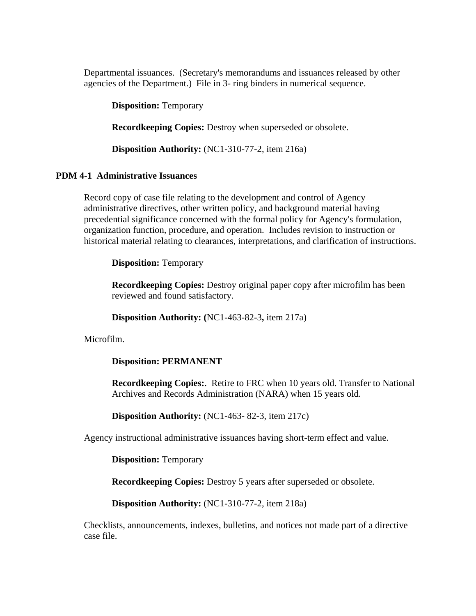Departmental issuances. (Secretary's memorandums and issuances released by other agencies of the Department.) File in 3- ring binders in numerical sequence.

**Disposition:** Temporary

**Recordkeeping Copies:** Destroy when superseded or obsolete.

**Disposition Authority:** (NC1-310-77-2, item 216a)

## **PDM 4-1 Administrative Issuances**

Record copy of case file relating to the development and control of Agency administrative directives, other written policy, and background material having precedential significance concerned with the formal policy for Agency's formulation, organization function, procedure, and operation. Includes revision to instruction or historical material relating to clearances, interpretations, and clarification of instructions.

**Disposition:** Temporary

**Recordkeeping Copies:** Destroy original paper copy after microfilm has been reviewed and found satisfactory.

**Disposition Authority: (**NC1-463-82-3**,** item 217a)

Microfilm.

## **Disposition: PERMANENT**

**Recordkeeping Copies:**. Retire to FRC when 10 years old. Transfer to National Archives and Records Administration (NARA) when 15 years old.

**Disposition Authority:** (NC1-463- 82-3, item 217c)

Agency instructional administrative issuances having short-term effect and value.

**Disposition:** Temporary

**Recordkeeping Copies:** Destroy 5 years after superseded or obsolete.

**Disposition Authority:** (NC1-310-77-2, item 218a)

Checklists, announcements, indexes, bulletins, and notices not made part of a directive case file.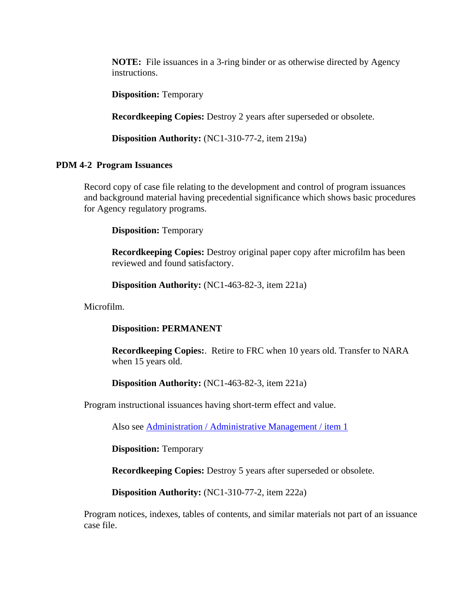**NOTE:** File issuances in a 3-ring binder or as otherwise directed by Agency instructions.

**Disposition:** Temporary

**Recordkeeping Copies:** Destroy 2 years after superseded or obsolete.

**Disposition Authority:** (NC1-310-77-2, item 219a)

## **PDM 4-2 Program Issuances**

Record copy of case file relating to the development and control of program issuances and background material having precedential significance which shows basic procedures for Agency regulatory programs.

**Disposition:** Temporary

**Recordkeeping Copies:** Destroy original paper copy after microfilm has been reviewed and found satisfactory.

**Disposition Authority:** (NC1-463-82-3, item 221a)

Microfilm.

## **Disposition: PERMANENT**

**Recordkeeping Copies:**. Retire to FRC when 10 years old. Transfer to NARA when 15 years old.

**Disposition Authority:** (NC1-463-82-3, item 221a)

Program instructional issuances having short-term effect and value.

Also see Administration / Administrative Management / item 1

**Disposition:** Temporary

**Recordkeeping Copies:** Destroy 5 years after superseded or obsolete.

**Disposition Authority:** (NC1-310-77-2, item 222a)

Program notices, indexes, tables of contents, and similar materials not part of an issuance case file.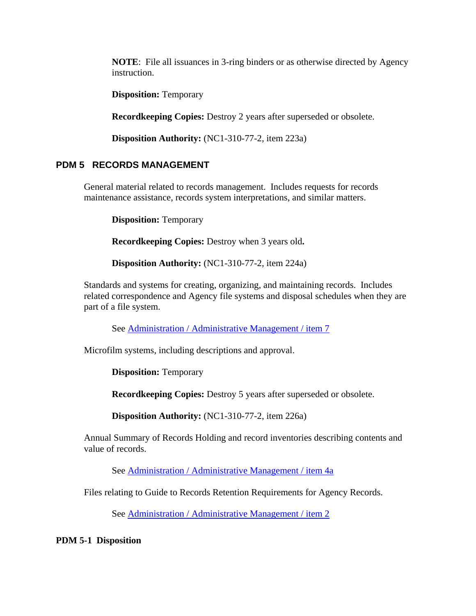**NOTE**: File all issuances in 3-ring binders or as otherwise directed by Agency instruction.

**Disposition:** Temporary

**Recordkeeping Copies:** Destroy 2 years after superseded or obsolete.

**Disposition Authority:** (NC1-310-77-2, item 223a)

# **PDM 5 RECORDS MANAGEMENT**

General material related to records management. Includes requests for records maintenance assistance, records system interpretations, and similar matters.

**Disposition:** Temporary

**Recordkeeping Copies:** Destroy when 3 years old**.** 

**Disposition Authority:** (NC1-310-77-2, item 224a)

Standards and systems for creating, organizing, and maintaining records. Includes related correspondence and Agency file systems and disposal schedules when they are part of a file system.

See Administration / Administrative Management / item 7

Microfilm systems, including descriptions and approval.

**Disposition:** Temporary

**Recordkeeping Copies:** Destroy 5 years after superseded or obsolete.

**Disposition Authority:** (NC1-310-77-2, item 226a)

Annual Summary of Records Holding and record inventories describing contents and value of records.

See Administration / Administrative Management / item 4a

Files relating to Guide to Records Retention Requirements for Agency Records.

See Administration / Administrative Management / item 2

**PDM 5-1 Disposition**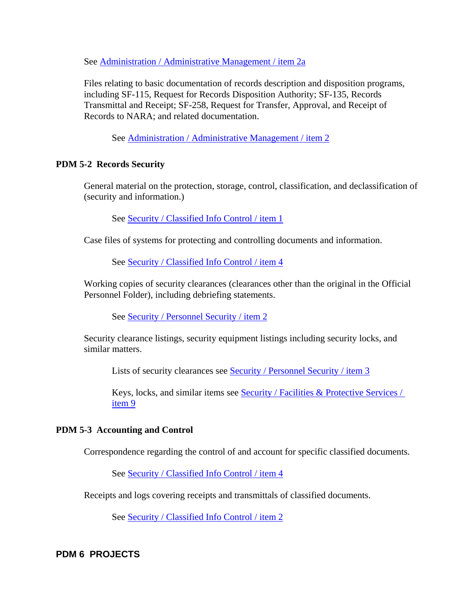See Administration / Administrative Management / item 2a

Files relating to basic documentation of records description and disposition programs, including SF-115, Request for Records Disposition Authority; SF-135, Records Transmittal and Receipt; SF-258, Request for Transfer, Approval, and Receipt of Records to NARA; and related documentation.

See Administration / Administrative Management / item 2

#### **PDM 5-2 Records Security**

General material on the protection, storage, control, classification, and declassification of (security and information.)

See Security / Classified Info Control / item 1

Case files of systems for protecting and controlling documents and information.

See Security / Classified Info Control / item 4

Working copies of security clearances (clearances other than the original in the Official Personnel Folder), including debriefing statements.

See Security / Personnel Security / item 2

Security clearance listings, security equipment listings including security locks, and similar matters.

Lists of security clearances see Security / Personnel Security / item 3

Keys, locks, and similar items see Security / Facilities & Protective Services / item 9

#### **PDM 5-3 Accounting and Control**

Correspondence regarding the control of and account for specific classified documents.

See Security / Classified Info Control / item 4

Receipts and logs covering receipts and transmittals of classified documents.

See Security / Classified Info Control / item 2

**PDM 6 PROJECTS**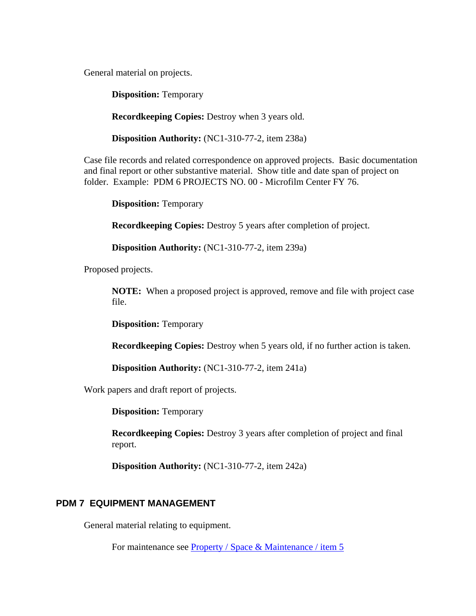General material on projects.

**Disposition:** Temporary

**Recordkeeping Copies:** Destroy when 3 years old.

**Disposition Authority:** (NC1-310-77-2, item 238a)

Case file records and related correspondence on approved projects. Basic documentation and final report or other substantive material. Show title and date span of project on folder. Example: PDM 6 PROJECTS NO. 00 - Microfilm Center FY 76.

**Disposition:** Temporary

**Recordkeeping Copies:** Destroy 5 years after completion of project.

**Disposition Authority:** (NC1-310-77-2, item 239a)

Proposed projects.

**NOTE:** When a proposed project is approved, remove and file with project case file.

**Disposition:** Temporary

**Recordkeeping Copies:** Destroy when 5 years old, if no further action is taken.

**Disposition Authority:** (NC1-310-77-2, item 241a)

Work papers and draft report of projects.

**Disposition:** Temporary

**Recordkeeping Copies:** Destroy 3 years after completion of project and final report.

**Disposition Authority:** (NC1-310-77-2, item 242a)

## **PDM 7 EQUIPMENT MANAGEMENT**

General material relating to equipment.

For maintenance see Property / Space & Maintenance / item 5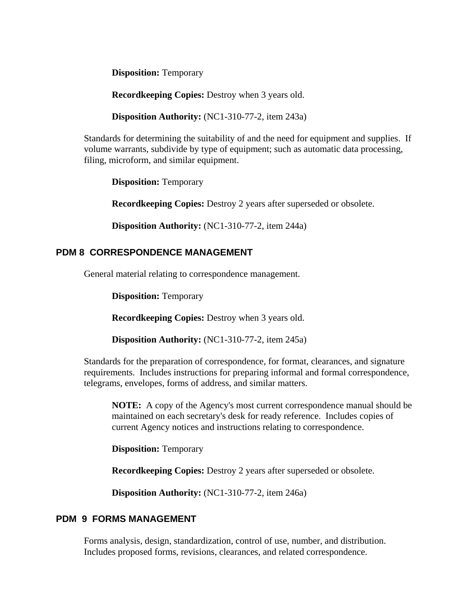**Disposition:** Temporary

**Recordkeeping Copies:** Destroy when 3 years old.

**Disposition Authority:** (NC1-310-77-2, item 243a)

Standards for determining the suitability of and the need for equipment and supplies. If volume warrants, subdivide by type of equipment; such as automatic data processing, filing, microform, and similar equipment.

**Disposition:** Temporary

**Recordkeeping Copies:** Destroy 2 years after superseded or obsolete.

**Disposition Authority:** (NC1-310-77-2, item 244a)

# **PDM 8 CORRESPONDENCE MANAGEMENT**

General material relating to correspondence management.

**Disposition:** Temporary

**Recordkeeping Copies:** Destroy when 3 years old.

**Disposition Authority:** (NC1-310-77-2, item 245a)

Standards for the preparation of correspondence, for format, clearances, and signature requirements. Includes instructions for preparing informal and formal correspondence, telegrams, envelopes, forms of address, and similar matters.

**NOTE:** A copy of the Agency's most current correspondence manual should be maintained on each secretary's desk for ready reference. Includes copies of current Agency notices and instructions relating to correspondence.

**Disposition:** Temporary

**Recordkeeping Copies:** Destroy 2 years after superseded or obsolete.

**Disposition Authority:** (NC1-310-77-2, item 246a)

# **PDM 9 FORMS MANAGEMENT**

Forms analysis, design, standardization, control of use, number, and distribution. Includes proposed forms, revisions, clearances, and related correspondence.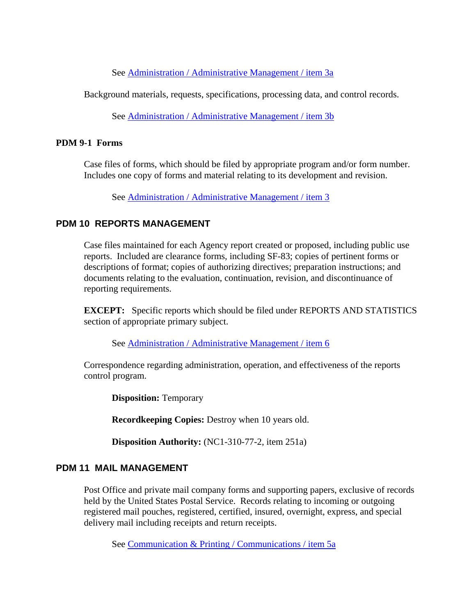See Administration / Administrative Management / item 3a

Background materials, requests, specifications, processing data, and control records.

See Administration / Administrative Management / item 3b

#### **PDM 9-1 Forms**

Case files of forms, which should be filed by appropriate program and/or form number. Includes one copy of forms and material relating to its development and revision.

See Administration / Administrative Management / item 3

## **PDM 10 REPORTS MANAGEMENT**

Case files maintained for each Agency report created or proposed, including public use reports. Included are clearance forms, including SF-83; copies of pertinent forms or descriptions of format; copies of authorizing directives; preparation instructions; and documents relating to the evaluation, continuation, revision, and discontinuance of reporting requirements.

**EXCEPT:** Specific reports which should be filed under REPORTS AND STATISTICS section of appropriate primary subject.

See Administration / Administrative Management / item 6

Correspondence regarding administration, operation, and effectiveness of the reports control program.

**Disposition: Temporary** 

**Recordkeeping Copies:** Destroy when 10 years old.

**Disposition Authority:** (NC1-310-77-2, item 251a)

## **PDM 11 MAIL MANAGEMENT**

Post Office and private mail company forms and supporting papers, exclusive of records held by the United States Postal Service. Records relating to incoming or outgoing registered mail pouches, registered, certified, insured, overnight, express, and special delivery mail including receipts and return receipts.

See Communication & Printing / Communications / item 5a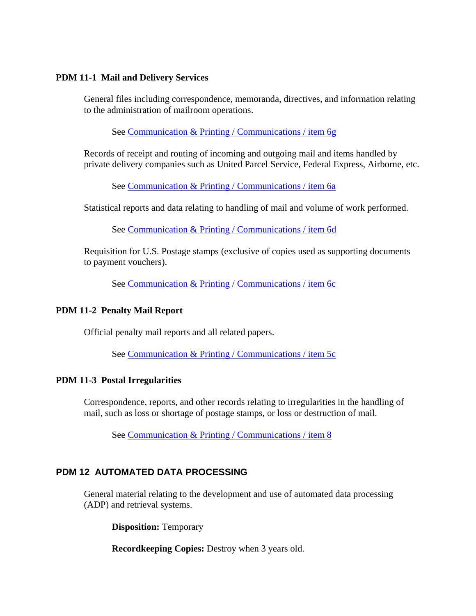#### **PDM 11-1 Mail and Delivery Services**

General files including correspondence, memoranda, directives, and information relating to the administration of mailroom operations.

See Communication & Printing / Communications / item 6g

Records of receipt and routing of incoming and outgoing mail and items handled by private delivery companies such as United Parcel Service, Federal Express, Airborne, etc.

See Communication & Printing / Communications / item 6a

Statistical reports and data relating to handling of mail and volume of work performed.

See Communication & Printing / Communications / item 6d

Requisition for U.S. Postage stamps (exclusive of copies used as supporting documents to payment vouchers).

See Communication & Printing / Communications / item 6c

## **PDM 11-2 Penalty Mail Report**

Official penalty mail reports and all related papers.

See Communication & Printing / Communications / item 5c

## **PDM 11-3 Postal Irregularities**

Correspondence, reports, and other records relating to irregularities in the handling of mail, such as loss or shortage of postage stamps, or loss or destruction of mail.

See Communication & Printing / Communications / item 8

# **PDM 12 AUTOMATED DATA PROCESSING**

General material relating to the development and use of automated data processing (ADP) and retrieval systems.

**Disposition:** Temporary

**Recordkeeping Copies:** Destroy when 3 years old.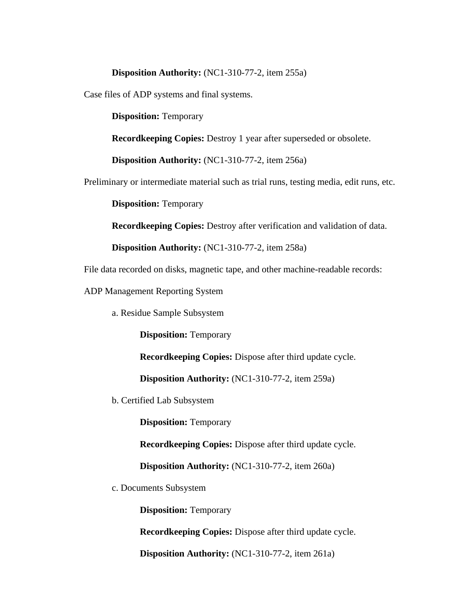#### **Disposition Authority:** (NC1-310-77-2, item 255a)

Case files of ADP systems and final systems.

**Disposition:** Temporary

**Recordkeeping Copies:** Destroy 1 year after superseded or obsolete.

**Disposition Authority:** (NC1-310-77-2, item 256a)

Preliminary or intermediate material such as trial runs, testing media, edit runs, etc.

**Disposition:** Temporary

**Recordkeeping Copies:** Destroy after verification and validation of data.

**Disposition Authority:** (NC1-310-77-2, item 258a)

File data recorded on disks, magnetic tape, and other machine-readable records:

ADP Management Reporting System

a. Residue Sample Subsystem

**Disposition:** Temporary

**Recordkeeping Copies:** Dispose after third update cycle.

**Disposition Authority:** (NC1-310-77-2, item 259a)

b. Certified Lab Subsystem

**Disposition:** Temporary

**Recordkeeping Copies:** Dispose after third update cycle.

**Disposition Authority:** (NC1-310-77-2, item 260a)

c. Documents Subsystem

**Disposition:** Temporary

**Recordkeeping Copies:** Dispose after third update cycle.

**Disposition Authority:** (NC1-310-77-2, item 261a)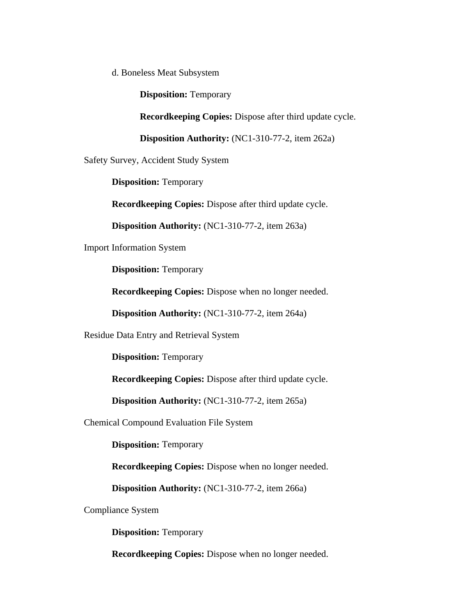d. Boneless Meat Subsystem

**Disposition:** Temporary

**Recordkeeping Copies:** Dispose after third update cycle.

**Disposition Authority:** (NC1-310-77-2, item 262a)

Safety Survey, Accident Study System

**Disposition:** Temporary

**Recordkeeping Copies:** Dispose after third update cycle.

**Disposition Authority:** (NC1-310-77-2, item 263a)

Import Information System

**Disposition:** Temporary

**Recordkeeping Copies:** Dispose when no longer needed.

**Disposition Authority:** (NC1-310-77-2, item 264a)

Residue Data Entry and Retrieval System

**Disposition:** Temporary

**Recordkeeping Copies:** Dispose after third update cycle.

**Disposition Authority:** (NC1-310-77-2, item 265a)

Chemical Compound Evaluation File System

**Disposition:** Temporary

**Recordkeeping Copies:** Dispose when no longer needed.

**Disposition Authority:** (NC1-310-77-2, item 266a)

Compliance System

**Disposition:** Temporary

**Recordkeeping Copies:** Dispose when no longer needed.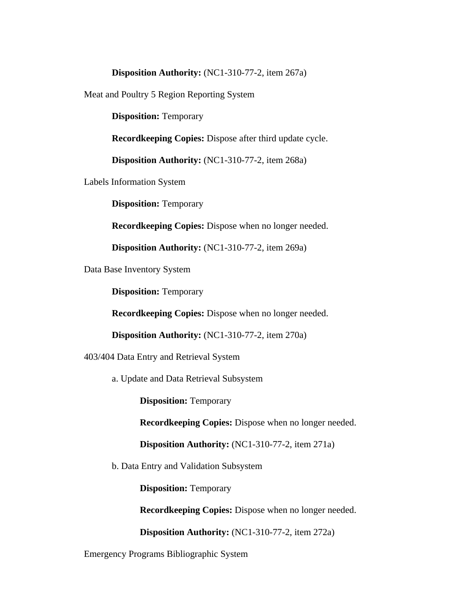#### **Disposition Authority:** (NC1-310-77-2, item 267a)

Meat and Poultry 5 Region Reporting System

**Disposition: Temporary** 

**Recordkeeping Copies:** Dispose after third update cycle.

**Disposition Authority:** (NC1-310-77-2, item 268a)

Labels Information System

**Disposition:** Temporary

**Recordkeeping Copies:** Dispose when no longer needed.

**Disposition Authority:** (NC1-310-77-2, item 269a)

Data Base Inventory System

**Disposition: Temporary** 

**Recordkeeping Copies:** Dispose when no longer needed.

**Disposition Authority:** (NC1-310-77-2, item 270a)

403/404 Data Entry and Retrieval System

a. Update and Data Retrieval Subsystem

**Disposition:** Temporary

**Recordkeeping Copies:** Dispose when no longer needed.

**Disposition Authority:** (NC1-310-77-2, item 271a)

b. Data Entry and Validation Subsystem

**Disposition:** Temporary

**Recordkeeping Copies:** Dispose when no longer needed.

**Disposition Authority:** (NC1-310-77-2, item 272a)

Emergency Programs Bibliographic System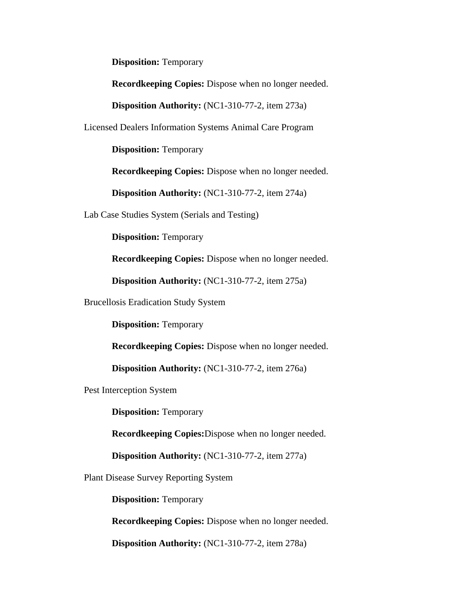**Disposition:** Temporary

**Recordkeeping Copies:** Dispose when no longer needed.

**Disposition Authority:** (NC1-310-77-2, item 273a)

Licensed Dealers Information Systems Animal Care Program

**Disposition:** Temporary

**Recordkeeping Copies:** Dispose when no longer needed.

**Disposition Authority:** (NC1-310-77-2, item 274a)

Lab Case Studies System (Serials and Testing)

**Disposition:** Temporary

**Recordkeeping Copies:** Dispose when no longer needed.

**Disposition Authority:** (NC1-310-77-2, item 275a)

Brucellosis Eradication Study System

**Disposition:** Temporary

**Recordkeeping Copies:** Dispose when no longer needed.

**Disposition Authority:** (NC1-310-77-2, item 276a)

Pest Interception System

**Disposition:** Temporary

**Recordkeeping Copies:**Dispose when no longer needed.

**Disposition Authority:** (NC1-310-77-2, item 277a)

Plant Disease Survey Reporting System

**Disposition:** Temporary

**Recordkeeping Copies:** Dispose when no longer needed.

**Disposition Authority:** (NC1-310-77-2, item 278a)